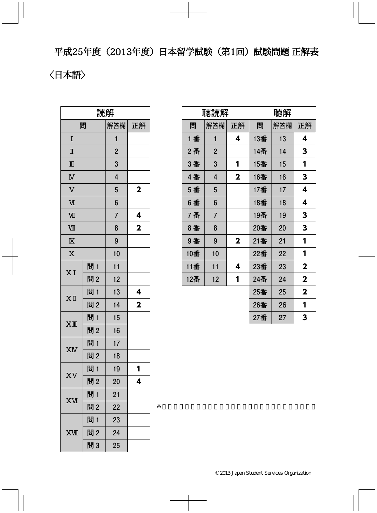平成25年度(2013年度)日本留学試験(第1回)試験問題 正解表

## 〈日本語〉

| 読解                      |     |                |                         |  |  |
|-------------------------|-----|----------------|-------------------------|--|--|
| 問                       |     | 解答欄            | 正解                      |  |  |
| I                       |     | 1              |                         |  |  |
| Π                       |     | $\overline{2}$ |                         |  |  |
| $\mathbb{I}$            |     | 3              |                         |  |  |
| $\overline{\mathbf{N}}$ |     | 4              |                         |  |  |
| $\overline{\text{V}}$   |     | 5              | $\mathbf{2}$            |  |  |
| M                       |     | 6              |                         |  |  |
| VШ                      |     | $\overline{7}$ | 4                       |  |  |
| WЩ                      |     | 8              | $\overline{\mathbf{2}}$ |  |  |
| $\overline{\mathbb{X}}$ |     | 9              |                         |  |  |
| $\overline{\text{X}}$   |     | 10             |                         |  |  |
| XI                      | 問1  | 11             |                         |  |  |
|                         | 問2  | 12             |                         |  |  |
| $X$ II                  | 問1  | 13             | 4                       |  |  |
|                         | 問2  | 14             | $\overline{\mathbf{2}}$ |  |  |
| $XI\!\!I\!I$            | 問1  | 15             |                         |  |  |
|                         | 問2  | 16             |                         |  |  |
| XIV                     | 問 1 | 17             |                         |  |  |
|                         | 問2  | 18             |                         |  |  |
| XV                      | 問1  | 19             | 1                       |  |  |
|                         | 問2  | 20             | 4                       |  |  |
|                         | 問 1 | 21             |                         |  |  |
| <b>XV</b>               | 問2  | 22             |                         |  |  |
|                         | 問 1 | 23             |                         |  |  |
| <b>XVII</b>             | 問2  | 24             |                         |  |  |
|                         | 問3  | 25             |                         |  |  |

|     | 聴読解            |             | 聴解  |     |             |
|-----|----------------|-------------|-----|-----|-------------|
| 問   | 解答欄            | 正解          | 問   | 解答欄 | 正解          |
| 1 番 | 1              | 4           | 13番 | 13  | 4           |
| 2番  | $\overline{2}$ |             | 14番 | 14  | 3           |
| 3番  | 3              | 1           | 15番 | 15  | 1           |
| 4 番 | 4              | $\mathbf 2$ | 16番 | 16  | 3           |
| 5 番 | 5              |             | 17番 | 17  | 4           |
| 6番  | 6              |             | 18番 | 18  | 4           |
| 7番  | $\overline{7}$ |             | 19番 | 19  | 3           |
| 8番  | 8              |             | 20番 | 20  | 3           |
| 9番  | 9              | $\mathbf 2$ | 21番 | 21  | 1           |
| 10番 | 10             |             | 22番 | 22  | 1           |
| 11番 | 11             | 4           | 23番 | 23  | $\mathbf 2$ |
| 12番 | 12             | 1           | 24番 | 24  | $\mathbf 2$ |
|     |                |             | 25番 | 25  | $\mathbf 2$ |
|     |                |             | 26番 | 26  | 1           |
|     |                |             | 27番 | 27  | 3           |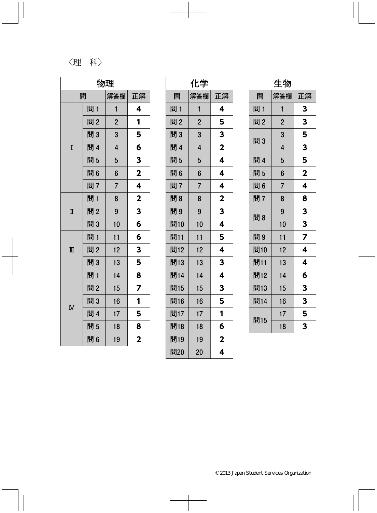## 〈理科〉

| 物理                      |     |                         |                         |  |
|-------------------------|-----|-------------------------|-------------------------|--|
| 解答欄<br>問<br>正解          |     |                         |                         |  |
|                         | 問 1 | $\mathbf{1}$            | 4                       |  |
|                         | 問2  | $\overline{2}$          | 1                       |  |
|                         | 問3  | 3                       | 5                       |  |
| I                       | 問 4 | $\overline{\mathbf{4}}$ | 6                       |  |
|                         | 問5  | 5                       | 3                       |  |
|                         | 問6  | 6                       | $\mathbf 2$             |  |
|                         | 問7  | $\overline{7}$          | 4                       |  |
|                         | 問1  | 8                       | $\overline{\mathbf{2}}$ |  |
| $\mathbb I$             | 問2  | 9                       | 3                       |  |
|                         | 問3  | 10                      | 6                       |  |
|                         | 問 1 | 11                      | 6                       |  |
| $\mathbb{I}$            | 問2  | 12                      | 3                       |  |
|                         | 問3  | 13                      | 5                       |  |
|                         | 問1  | 14                      | 8                       |  |
|                         | 問2  | 15                      | 7                       |  |
|                         | 問3  | 16                      | 1                       |  |
| $\overline{\mathbf{N}}$ | 問 4 | 17                      | 5                       |  |
|                         | 問5  | 18                      | 8                       |  |
|                         | 問6  | 19                      | 2                       |  |

| 化学  |                |                         |  |  |
|-----|----------------|-------------------------|--|--|
| 問   | 解答欄            | 正解                      |  |  |
| 問1  | 1              | 4                       |  |  |
| 問2  | $\overline{2}$ | 5                       |  |  |
| 問3  | 3              | 3                       |  |  |
| 問 4 | 4              | $\overline{\mathbf{2}}$ |  |  |
| 問5  | 5              | 4                       |  |  |
| 問6  | 6              | 4                       |  |  |
| 問7  | $\overline{7}$ | 4                       |  |  |
| 問8  | 8              | $\overline{\mathbf{2}}$ |  |  |
| 問9  | 9              | 3                       |  |  |
| 問10 | 10             | 4                       |  |  |
| 問11 | 11             | 5                       |  |  |
| 問12 | 12             | 4                       |  |  |
| 問13 | 13             | 3                       |  |  |
| 問14 | 14             | 4                       |  |  |
| 問15 | 15             | 3                       |  |  |
| 問16 | 16             | 5                       |  |  |
| 問17 | 17             | 1                       |  |  |
| 問18 | 18             | 6                       |  |  |
| 問19 | 19             | $\overline{\mathbf{2}}$ |  |  |
| 問20 | 20             | 4                       |  |  |

| 生物  |                |                         |  |
|-----|----------------|-------------------------|--|
| 問   | 解答欄            | 正解                      |  |
| 問1  | 1              | 3                       |  |
| 問2  | $\overline{2}$ | 3                       |  |
| 問3  | 3              | 5                       |  |
|     | $\overline{4}$ | 3                       |  |
| 問 4 | 5              | 5                       |  |
| 問5  | 6              | $\overline{\mathbf{2}}$ |  |
| 問6  | $\overline{7}$ | 4                       |  |
| 問7  | 8              | 8                       |  |
| 問8  | 9              | 3                       |  |
|     | 10             | 3                       |  |
| 問9  | 11             | $\overline{\mathbf{z}}$ |  |
| 問10 | 12             | 4                       |  |
| 問11 | 13             | 4                       |  |
| 問12 | 14             | 6                       |  |
| 問13 | 15             | 3                       |  |
| 問14 | 16             | 3                       |  |
| 問15 | 17             | 5                       |  |
|     | 18             | 3                       |  |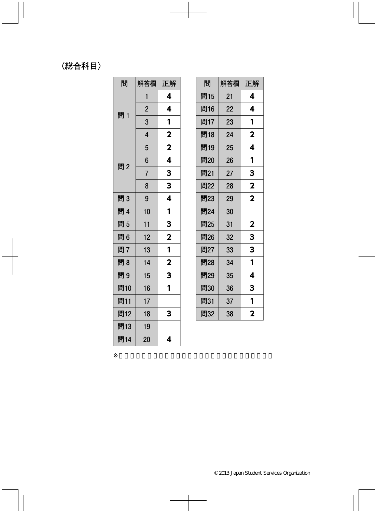## 〈総合科目〉

| 問   | 解答欄            | 正解                      |
|-----|----------------|-------------------------|
|     | 1              | 4                       |
| 問1  | $\overline{2}$ | 4                       |
|     | 3              | 1                       |
|     | 4              | $\overline{\mathbf{2}}$ |
|     | 5              | $\overline{\mathbf{2}}$ |
| 問2  | 6              | 4                       |
|     | $\overline{7}$ | 3                       |
|     | 8              | 3                       |
| 問3  | 9              | 4                       |
| 問 4 | 10             | 1                       |
| 問5  | 11             | 3                       |
| 問6  | 12             | $\overline{\mathbf{2}}$ |
| 問7  | 13             | 1                       |
| 問8  | 14             | $\overline{\mathbf{2}}$ |
| 問9  | 15             | 3                       |
| 問10 | 16             | 1                       |
| 問11 | 17             |                         |
| 問12 | 18             | 3                       |
| 問13 | 19             |                         |
| 問14 | 20             | 4                       |

| 問   | 解答欄 | 正解                      |
|-----|-----|-------------------------|
| 問15 | 21  | 4                       |
| 問16 | 22  | 4                       |
| 問17 | 23  | 1                       |
| 問18 | 24  | $\mathbf 2$             |
| 問19 | 25  | 4                       |
| 問20 | 26  | 1                       |
| 問21 | 27  | 3                       |
| 問22 | 28  | $\overline{\mathbf{2}}$ |
| 問23 | 29  | $\overline{\mathbf{2}}$ |
| 問24 | 30  |                         |
| 問25 | 31  | 2                       |
| 問26 | 32  | 3                       |
| 問27 | 33  | 3                       |
| 問28 | 34  | 1                       |
| 問29 | 35  | 4                       |
| 問30 | 36  | 3                       |
| 問31 | 37  | 1                       |
| 問32 | 38  | 2                       |